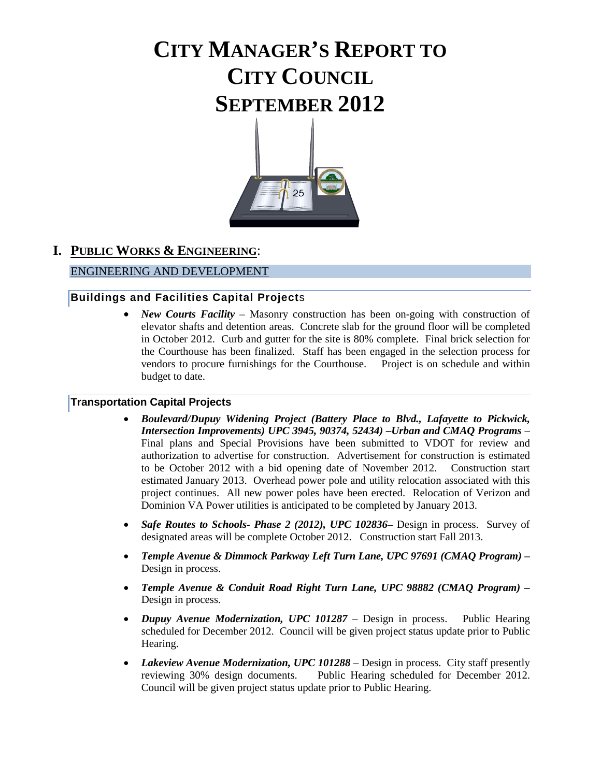# **CITY MANAGER'S REPORT TO CITY COUNCIL SEPTEMBER 2012**



# **I. PUBLIC WORKS & ENGINEERING**:

#### ENGINEERING AND DEVELOPMENT

#### **Buildings and Facilities Capital Project**s

• *New Courts Facility* – Masonry construction has been on-going with construction of elevator shafts and detention areas. Concrete slab for the ground floor will be completed in October 2012. Curb and gutter for the site is 80% complete. Final brick selection for the Courthouse has been finalized. Staff has been engaged in the selection process for vendors to procure furnishings for the Courthouse. Project is on schedule and within budget to date.

#### **Transportation Capital Projects**

- *Boulevard/Dupuy Widening Project (Battery Place to Blvd., Lafayette to Pickwick, Intersection Improvements) UPC 3945, 90374, 52434) –Urban and CMAQ Programs* – Final plans and Special Provisions have been submitted to VDOT for review and authorization to advertise for construction. Advertisement for construction is estimated to be October 2012 with a bid opening date of November 2012. Construction start estimated January 2013. Overhead power pole and utility relocation associated with this project continues. All new power poles have been erected. Relocation of Verizon and Dominion VA Power utilities is anticipated to be completed by January 2013.
- *Safe Routes to Schools- Phase 2 (2012), UPC 102836***–** Design in process. Survey of designated areas will be complete October 2012. Construction start Fall 2013.
- *Temple Avenue & Dimmock Parkway Left Turn Lane, UPC 97691 (CMAQ Program) –* Design in process.
- *Temple Avenue & Conduit Road Right Turn Lane, UPC 98882 (CMAQ Program) –* Design in process.
- *Dupuy Avenue Modernization, UPC 101287*  Design in process. Public Hearing scheduled for December 2012. Council will be given project status update prior to Public Hearing.
- *Lakeview Avenue Modernization, UPC 101288* Design in process. City staff presently reviewing 30% design documents. Public Hearing scheduled for December 2012. Council will be given project status update prior to Public Hearing.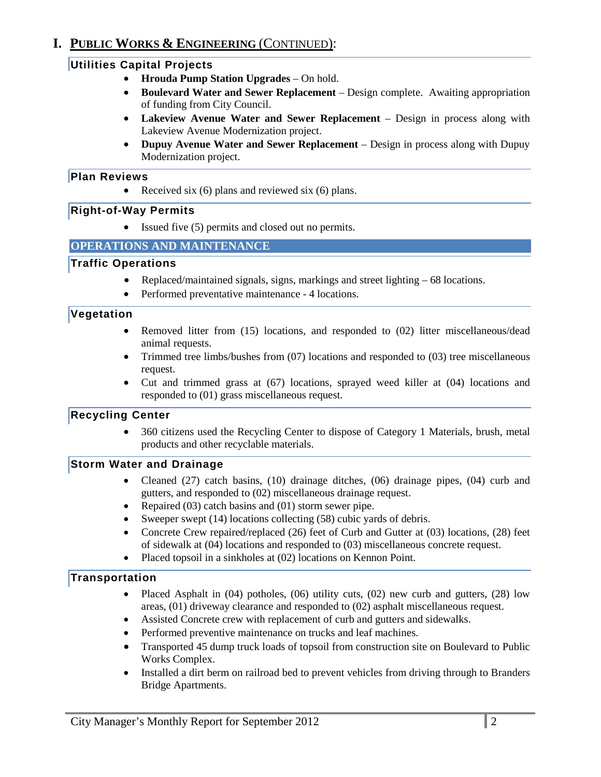# **I. PUBLIC WORKS & ENGINEERING** (CONTINUED):

#### **Utilities Capital Projects**

- **Hrouda Pump Station Upgrades**  On hold.
- **Boulevard Water and Sewer Replacement**  Design complete. Awaiting appropriation of funding from City Council.
- **Lakeview Avenue Water and Sewer Replacement**  Design in process along with Lakeview Avenue Modernization project.
- **Dupuy Avenue Water and Sewer Replacement**  Design in process along with Dupuy Modernization project.

#### **Plan Reviews**

• Received six  $(6)$  plans and reviewed six  $(6)$  plans.

#### **Right-of-Way Permits**

• Issued five (5) permits and closed out no permits.

#### **OPERATIONS AND MAINTENANCE**

#### **Traffic Operations**

- Replaced/maintained signals, signs, markings and street lighting 68 locations.
- Performed preventative maintenance 4 locations.

#### **Vegetation**

- Removed litter from (15) locations, and responded to (02) litter miscellaneous/dead animal requests.
- Trimmed tree limbs/bushes from (07) locations and responded to (03) tree miscellaneous request.
- Cut and trimmed grass at (67) locations, sprayed weed killer at (04) locations and responded to (01) grass miscellaneous request.

#### **Recycling Center**

• 360 citizens used the Recycling Center to dispose of Category 1 Materials, brush, metal products and other recyclable materials.

#### **Storm Water and Drainage**

- Cleaned (27) catch basins, (10) drainage ditches, (06) drainage pipes, (04) curb and gutters, and responded to (02) miscellaneous drainage request.
- Repaired (03) catch basins and (01) storm sewer pipe.
- Sweeper swept (14) locations collecting (58) cubic yards of debris.
- Concrete Crew repaired/replaced (26) feet of Curb and Gutter at (03) locations, (28) feet of sidewalk at (04) locations and responded to (03) miscellaneous concrete request.
- Placed topsoil in a sinkholes at (02) locations on Kennon Point.

#### **Transportation**

- Placed Asphalt in (04) potholes, (06) utility cuts, (02) new curb and gutters, (28) low areas, (01) driveway clearance and responded to (02) asphalt miscellaneous request.
- Assisted Concrete crew with replacement of curb and gutters and sidewalks.
- Performed preventive maintenance on trucks and leaf machines.
- Transported 45 dump truck loads of topsoil from construction site on Boulevard to Public Works Complex.
- Installed a dirt berm on railroad bed to prevent vehicles from driving through to Branders Bridge Apartments.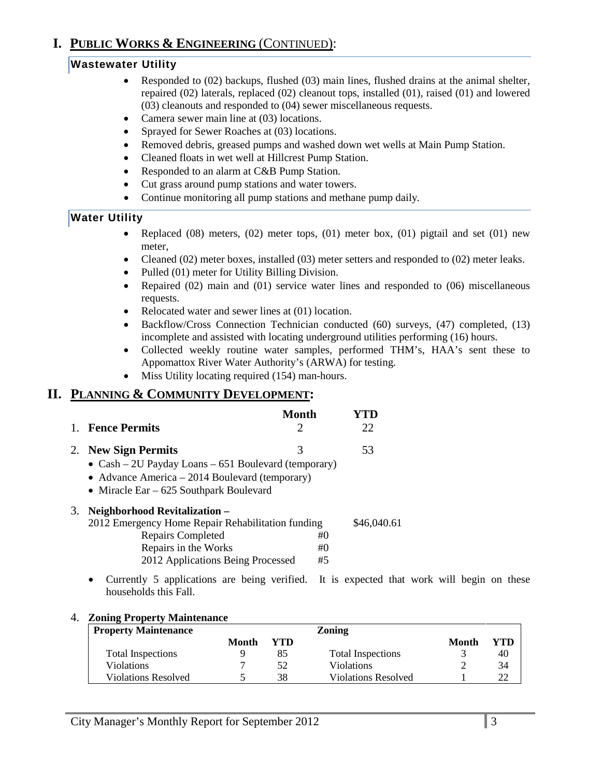# **I. PUBLIC WORKS & ENGINEERING** (CONTINUED):

# **Wastewater Utility**

- Responded to (02) backups, flushed (03) main lines, flushed drains at the animal shelter, repaired (02) laterals, replaced (02) cleanout tops, installed (01), raised (01) and lowered (03) cleanouts and responded to (04) sewer miscellaneous requests.
- Camera sewer main line at (03) locations.
- Sprayed for Sewer Roaches at (03) locations.
- Removed debris, greased pumps and washed down wet wells at Main Pump Station.
- Cleaned floats in wet well at Hillcrest Pump Station.
- Responded to an alarm at C&B Pump Station.
- Cut grass around pump stations and water towers.
- Continue monitoring all pump stations and methane pump daily*.*

### **Water Utility**

- Replaced  $(08)$  meters,  $(02)$  meter tops,  $(01)$  meter box,  $(01)$  pigtail and set  $(01)$  new meter,
- Cleaned (02) meter boxes, installed (03) meter setters and responded to (02) meter leaks.
- Pulled (01) meter for Utility Billing Division.
- Repaired (02) main and (01) service water lines and responded to (06) miscellaneous requests.
- Relocated water and sewer lines at (01) location.
- Backflow/Cross Connection Technician conducted (60) surveys, (47) completed, (13) incomplete and assisted with locating underground utilities performing (16) hours.
- Collected weekly routine water samples, performed THM's, HAA's sent these to Appomattox River Water Authority's (ARWA) for testing.
- Miss Utility locating required (154) man-hours.

### **II. PLANNING & COMMUNITY DEVELOPMENT:**

| <b>Fence Permits</b>                                                                                                                                                         | Month<br>2       | 22          |
|------------------------------------------------------------------------------------------------------------------------------------------------------------------------------|------------------|-------------|
| 2. New Sign Permits<br>• $Cash - 2U$ Payday Loans $-651$ Boulevard (temporary)<br>• Advance America – 2014 Boulevard (temporary)<br>• Miracle Ear $-625$ Southpark Boulevard | 3                | 53          |
| 3. Neighborhood Revitalization –<br>2012 Emergency Home Repair Rehabilitation funding<br>Repairs Completed<br>Repairs in the Works<br>2012 Applications Being Processed      | #()<br>#()<br>#5 | \$46,040.61 |
| Currently 5 applications are being verified. It is expected that<br>households this Fall.                                                                                    |                  |             |

#### 4. **Zoning Property Maintenance**

| <b>Property Maintenance</b> |       |     | Zoning                     |       |     |
|-----------------------------|-------|-----|----------------------------|-------|-----|
|                             | Month | YTD |                            | Month | YTD |
| <b>Total Inspections</b>    |       |     | <b>Total Inspections</b>   |       | 40  |
| Violations                  |       | 52  | <b>Violations</b>          |       | 34  |
| Violations Resolved         |       | 38  | <b>Violations Resolved</b> |       |     |

that work will begin on these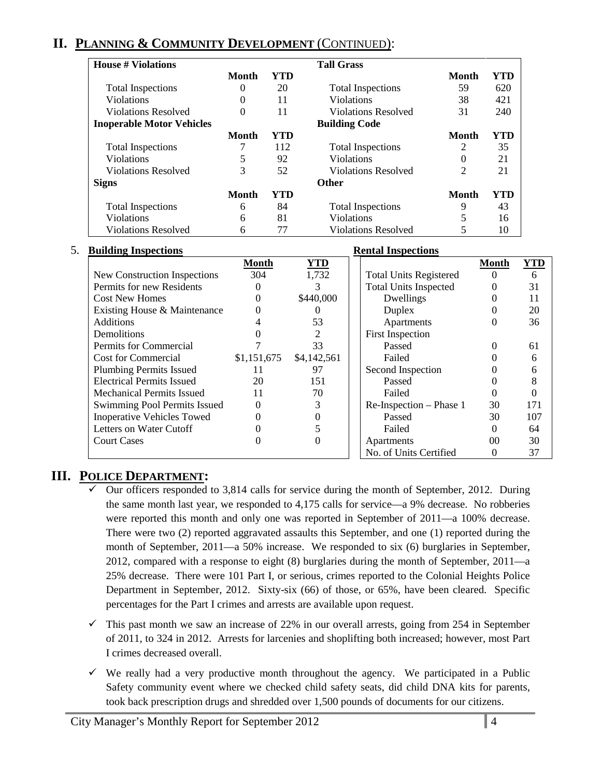# **II. PLANNING & COMMUNITY DEVELOPMENT** (CONTINUED):

| <b>House # Violations</b>        |              |     | <b>Tall Grass</b>          |                |     |
|----------------------------------|--------------|-----|----------------------------|----------------|-----|
|                                  | <b>Month</b> | YTD |                            | Month          | YTD |
| <b>Total Inspections</b>         | $\theta$     | 20  | <b>Total Inspections</b>   | 59             | 620 |
| <b>Violations</b>                | $\Omega$     | 11  | <b>Violations</b>          | 38             | 421 |
| <b>Violations Resolved</b>       | $\Omega$     | 11  | <b>Violations Resolved</b> | 31             | 240 |
| <b>Inoperable Motor Vehicles</b> |              |     | <b>Building Code</b>       |                |     |
|                                  | Month        | YTD |                            | Month          | YTD |
| <b>Total Inspections</b>         |              | 112 | <b>Total Inspections</b>   | 2              | 35  |
| <b>Violations</b>                | 5            | 92  | <b>Violations</b>          | 0              | 21  |
| <b>Violations Resolved</b>       | 3            | 52  | <b>Violations Resolved</b> | $\overline{2}$ | 21  |
| <b>Signs</b>                     |              |     | <b>Other</b>               |                |     |
|                                  | Month        | YTD |                            | <b>Month</b>   | YTD |
| <b>Total Inspections</b>         | 6            | 84  | <b>Total Inspections</b>   | 9              | 43  |
| <b>Violations</b>                | 6            | 81  | <b>Violations</b>          | 5              | 16  |
| <b>Violations Resolved</b>       | 6            | 77  | <b>Violations Resolved</b> |                | 10  |

| 5. | <b>Building Inspections</b>       | <b>Rental Inspections</b> |             |  |                               |                |            |
|----|-----------------------------------|---------------------------|-------------|--|-------------------------------|----------------|------------|
|    |                                   | <b>Month</b>              | <b>YTD</b>  |  |                               | <b>Month</b>   | <b>YTD</b> |
|    | New Construction Inspections      | 304                       | 1,732       |  | <b>Total Units Registered</b> | $\Omega$       | 6          |
|    | Permits for new Residents         | 0                         |             |  | <b>Total Units Inspected</b>  | 0              | 31         |
|    | <b>Cost New Homes</b>             | 0                         | \$440,000   |  | Dwellings                     | 0              | 11         |
|    | Existing House & Maintenance      |                           |             |  | Duplex                        | 0              | 20         |
|    | <b>Additions</b>                  |                           | 53          |  | Apartments                    | $\Omega$       | 36         |
|    | <b>Demolitions</b>                |                           |             |  | <b>First Inspection</b>       |                |            |
|    | Permits for Commercial            |                           | 33          |  | Passed                        | $\Omega$       | 61         |
|    | <b>Cost for Commercial</b>        | \$1,151,675               | \$4,142,561 |  | Failed                        | 0              | 6          |
|    | <b>Plumbing Permits Issued</b>    | 11                        | 97          |  | Second Inspection             | 0              | 6          |
|    | <b>Electrical Permits Issued</b>  | 20                        | 151         |  | Passed                        | 0              | 8          |
|    | <b>Mechanical Permits Issued</b>  | 11                        | 70          |  | Failed                        | 0              |            |
|    | Swimming Pool Permits Issued      | $\Omega$                  | 3           |  | Re-Inspection – Phase 1       | 30             | 171        |
|    | <b>Inoperative Vehicles Towed</b> |                           |             |  | Passed                        | 30             | 107        |
|    | Letters on Water Cutoff           |                           |             |  | Failed                        | 0              | 64         |
|    | <b>Court Cases</b>                |                           | 0           |  | Apartments                    | 0 <sup>0</sup> | 30         |
|    |                                   |                           |             |  | No. of Units Certified        | 0              | 37         |

# **III. POLICE DEPARTMENT:**

- Our officers responded to 3,814 calls for service during the month of September, 2012. During the same month last year, we responded to 4,175 calls for service—a 9% decrease. No robberies were reported this month and only one was reported in September of 2011—a 100% decrease. There were two (2) reported aggravated assaults this September, and one (1) reported during the month of September, 2011—a 50% increase. We responded to six (6) burglaries in September, 2012, compared with a response to eight (8) burglaries during the month of September, 2011—a 25% decrease. There were 101 Part I, or serious, crimes reported to the Colonial Heights Police Department in September, 2012. Sixty-six (66) of those, or 65%, have been cleared. Specific percentages for the Part I crimes and arrests are available upon request.
- $\checkmark$  This past month we saw an increase of 22% in our overall arrests, going from 254 in September of 2011, to 324 in 2012. Arrests for larcenies and shoplifting both increased; however, most Part I crimes decreased overall.
- $\checkmark$  We really had a very productive month throughout the agency. We participated in a Public Safety community event where we checked child safety seats, did child DNA kits for parents, took back prescription drugs and shredded over 1,500 pounds of documents for our citizens.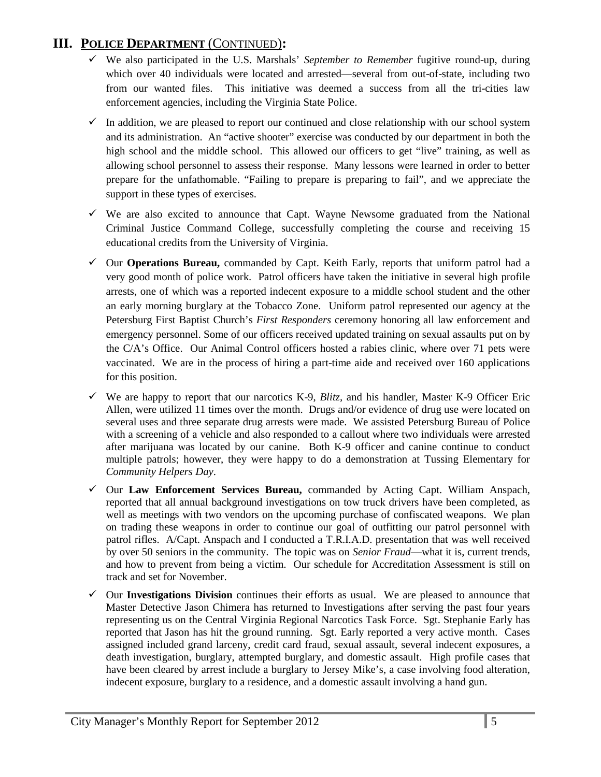# **III. POLICE DEPARTMENT** (CONTINUED)**:**

- We also participated in the U.S. Marshals' *September to Remember* fugitive round-up, during which over 40 individuals were located and arrested—several from out-of-state, including two from our wanted files. This initiative was deemed a success from all the tri-cities law enforcement agencies, including the Virginia State Police.
- $\checkmark$  In addition, we are pleased to report our continued and close relationship with our school system and its administration. An "active shooter" exercise was conducted by our department in both the high school and the middle school. This allowed our officers to get "live" training, as well as allowing school personnel to assess their response. Many lessons were learned in order to better prepare for the unfathomable. "Failing to prepare is preparing to fail", and we appreciate the support in these types of exercises.
- $\checkmark$  We are also excited to announce that Capt. Wayne Newsome graduated from the National Criminal Justice Command College, successfully completing the course and receiving 15 educational credits from the University of Virginia.
- Our **Operations Bureau,** commanded by Capt. Keith Early, reports that uniform patrol had a very good month of police work. Patrol officers have taken the initiative in several high profile arrests, one of which was a reported indecent exposure to a middle school student and the other an early morning burglary at the Tobacco Zone. Uniform patrol represented our agency at the Petersburg First Baptist Church's *First Responders* ceremony honoring all law enforcement and emergency personnel. Some of our officers received updated training on sexual assaults put on by the C/A's Office. Our Animal Control officers hosted a rabies clinic, where over 71 pets were vaccinated. We are in the process of hiring a part-time aide and received over 160 applications for this position.
- $\checkmark$  We are happy to report that our narcotics K-9, *Blitz*, and his handler, Master K-9 Officer Eric Allen, were utilized 11 times over the month. Drugs and/or evidence of drug use were located on several uses and three separate drug arrests were made. We assisted Petersburg Bureau of Police with a screening of a vehicle and also responded to a callout where two individuals were arrested after marijuana was located by our canine. Both K-9 officer and canine continue to conduct multiple patrols; however, they were happy to do a demonstration at Tussing Elementary for *Community Helpers Day*.
- Our **Law Enforcement Services Bureau,** commanded by Acting Capt. William Anspach, reported that all annual background investigations on tow truck drivers have been completed, as well as meetings with two vendors on the upcoming purchase of confiscated weapons. We plan on trading these weapons in order to continue our goal of outfitting our patrol personnel with patrol rifles. A/Capt. Anspach and I conducted a T.R.I.A.D. presentation that was well received by over 50 seniors in the community. The topic was on *Senior Fraud*—what it is, current trends, and how to prevent from being a victim. Our schedule for Accreditation Assessment is still on track and set for November.
- $\checkmark$  Our **Investigations Division** continues their efforts as usual. We are pleased to announce that Master Detective Jason Chimera has returned to Investigations after serving the past four years representing us on the Central Virginia Regional Narcotics Task Force. Sgt. Stephanie Early has reported that Jason has hit the ground running. Sgt. Early reported a very active month. Cases assigned included grand larceny, credit card fraud, sexual assault, several indecent exposures, a death investigation, burglary, attempted burglary, and domestic assault. High profile cases that have been cleared by arrest include a burglary to Jersey Mike's, a case involving food alteration, indecent exposure, burglary to a residence, and a domestic assault involving a hand gun.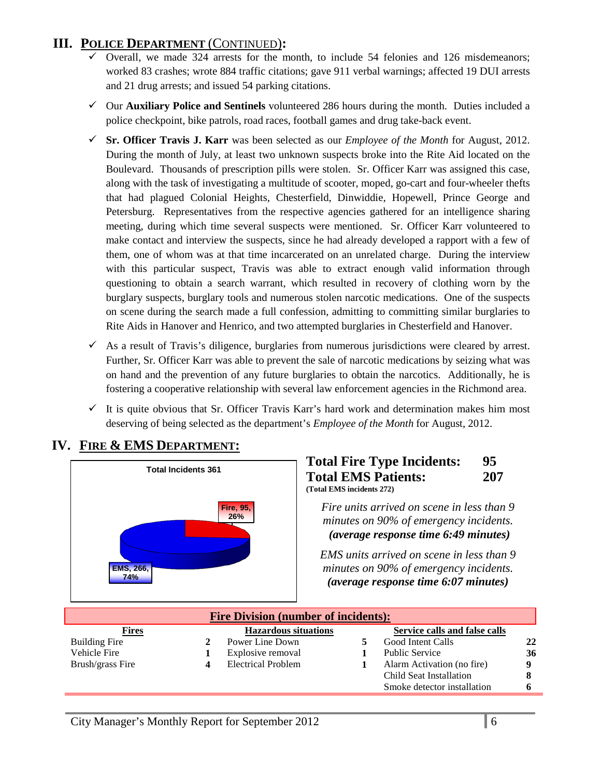# **III. POLICE DEPARTMENT** (CONTINUED)**:**

- $\checkmark$  Overall, we made 324 arrests for the month, to include 54 felonies and 126 misdemeanors; worked 83 crashes; wrote 884 traffic citations; gave 911 verbal warnings; affected 19 DUI arrests and 21 drug arrests; and issued 54 parking citations.
- Our **Auxiliary Police and Sentinels** volunteered 286 hours during the month. Duties included a police checkpoint, bike patrols, road races, football games and drug take-back event.
- **Sr. Officer Travis J. Karr** was been selected as our *Employee of the Month* for August, 2012. During the month of July, at least two unknown suspects broke into the Rite Aid located on the Boulevard. Thousands of prescription pills were stolen. Sr. Officer Karr was assigned this case, along with the task of investigating a multitude of scooter, moped, go-cart and four-wheeler thefts that had plagued Colonial Heights, Chesterfield, Dinwiddie, Hopewell, Prince George and Petersburg. Representatives from the respective agencies gathered for an intelligence sharing meeting, during which time several suspects were mentioned. Sr. Officer Karr volunteered to make contact and interview the suspects, since he had already developed a rapport with a few of them, one of whom was at that time incarcerated on an unrelated charge. During the interview with this particular suspect, Travis was able to extract enough valid information through questioning to obtain a search warrant, which resulted in recovery of clothing worn by the burglary suspects, burglary tools and numerous stolen narcotic medications. One of the suspects on scene during the search made a full confession, admitting to committing similar burglaries to Rite Aids in Hanover and Henrico, and two attempted burglaries in Chesterfield and Hanover.
- $\checkmark$  As a result of Travis's diligence, burglaries from numerous jurisdictions were cleared by arrest. Further, Sr. Officer Karr was able to prevent the sale of narcotic medications by seizing what was on hand and the prevention of any future burglaries to obtain the narcotics. Additionally, he is fostering a cooperative relationship with several law enforcement agencies in the Richmond area.
- $\checkmark$  It is quite obvious that Sr. Officer Travis Karr's hard work and determination makes him most deserving of being selected as the department's *Employee of the Month* for August, 2012.



### **IV. FIRE & EMS DEPARTMENT:**

#### **Total Fire Type Incidents: 95 Total EMS Patients: 207 (Total EMS incidents 272)**

*Fire units arrived on scene in less than 9 minutes on 90% of emergency incidents. (average response time 6:49 minutes)* 

*EMS units arrived on scene in less than 9 minutes on 90% of emergency incidents. <sup>U</sup>(average response time 6:07 minutes)*

| <b>Fire Division (number of incidents):</b> |  |                             |  |                               |             |
|---------------------------------------------|--|-----------------------------|--|-------------------------------|-------------|
| <b>Fires</b>                                |  | <b>Hazardous situations</b> |  | Service calls and false calls |             |
| <b>Building Fire</b>                        |  | Power Line Down             |  | Good Intent Calls             | 22          |
| Vehicle Fire                                |  | Explosive removal           |  | <b>Public Service</b>         | 36          |
| Brush/grass Fire                            |  | <b>Electrical Problem</b>   |  | Alarm Activation (no fire)    | $\mathbf o$ |
|                                             |  |                             |  | Child Seat Installation       |             |
|                                             |  |                             |  | Smoke detector installation   |             |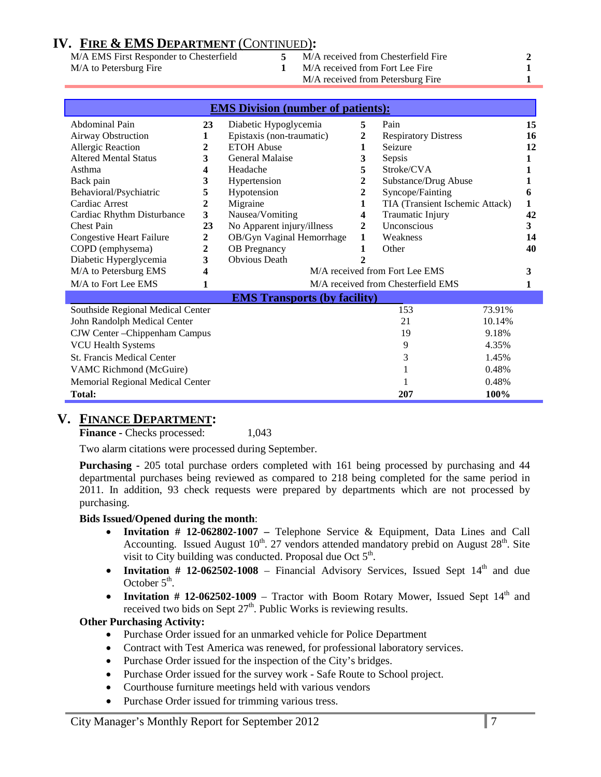# **IV. FIRE & EMS DEPARTMENT** (CONTINUED)**:**

M/A EMS First Responder to Chesterfield **5** M/A received from Chesterfield Fire **2** M/A to Petersburg Fire **1** M/A received from Fort Lee Fire **1** M/A received from Petersburg Fire **1**

| <b>EMS Division (number of patients):</b>       |                         |                                     |                                     |                                    |    |
|-------------------------------------------------|-------------------------|-------------------------------------|-------------------------------------|------------------------------------|----|
| Abdominal Pain                                  | 23                      | Diabetic Hypoglycemia               |                                     | Pain                               | 15 |
| Airway Obstruction                              | 1                       | Epistaxis (non-traumatic)           | 2                                   | <b>Respiratory Distress</b>        | 16 |
| <b>Allergic Reaction</b>                        | $\mathbf{2}$            | <b>ETOH Abuse</b>                   | 1                                   | Seizure                            | 12 |
| <b>Altered Mental Status</b>                    | 3                       | General Malaise                     | 3                                   | Sepsis                             |    |
| Asthma                                          | 4                       | Headache                            | 5                                   | Stroke/CVA                         |    |
| Back pain                                       | 3                       | Hypertension                        | 2                                   | Substance/Drug Abuse               |    |
| Behavioral/Psychiatric                          | 5                       | Hypotension                         | 2                                   | Syncope/Fainting                   | 6  |
| Cardiac Arrest                                  | $\mathbf{2}$            | Migraine                            | 1                                   | TIA (Transient Ischemic Attack)    | 1  |
| Cardiac Rhythm Disturbance                      | $\overline{\mathbf{3}}$ | Nausea/Vomiting                     | 4                                   | Traumatic Injury                   | 42 |
| <b>Chest Pain</b>                               | 23                      | No Apparent injury/illness          | $\mathbf{2}$                        | Unconscious                        | 3  |
| <b>Congestive Heart Failure</b>                 | 2                       | OB/Gyn Vaginal Hemorrhage           | 1                                   | Weakness                           | 14 |
| COPD (emphysema)                                | $\overline{2}$          | <b>OB</b> Pregnancy                 | 1                                   | Other                              | 40 |
| Diabetic Hyperglycemia                          | 3                       | <b>Obvious</b> Death                | $\mathbf{2}$                        |                                    |    |
| M/A to Petersburg EMS                           |                         |                                     | M/A received from Fort Lee EMS<br>3 |                                    |    |
| M/A to Fort Lee EMS                             | 1                       |                                     |                                     | M/A received from Chesterfield EMS |    |
|                                                 |                         | <b>EMS Transports (by facility)</b> |                                     |                                    |    |
| Southside Regional Medical Center               |                         |                                     |                                     | 153<br>73.91%                      |    |
| John Randolph Medical Center<br>21<br>10.14%    |                         |                                     |                                     |                                    |    |
| CJW Center - Chippenham Campus                  |                         |                                     | 19<br>9.18%                         |                                    |    |
| <b>VCU Health Systems</b>                       |                         |                                     |                                     | 4.35%<br>9                         |    |
| <b>St. Francis Medical Center</b><br>3<br>1.45% |                         |                                     |                                     |                                    |    |
| VAMC Richmond (McGuire)                         |                         |                                     | 0.48%                               |                                    |    |
| Memorial Regional Medical Center                |                         |                                     | 0.48%                               |                                    |    |
| Total:                                          |                         |                                     |                                     | 207<br>100%                        |    |

### **V. FINANCE DEPARTMENT:**

**Finance -** Checks processed: 1,043

Two alarm citations were processed during September.

**Purchasing -** 205 total purchase orders completed with 161 being processed by purchasing and 44 departmental purchases being reviewed as compared to 218 being completed for the same period in 2011. In addition, 93 check requests were prepared by departments which are not processed by purchasing.

#### **Bids Issued/Opened during the month**:

- **Invitation # 12-062802-1007 –** Telephone Service & Equipment, Data Lines and Call Accounting. Issued August  $10^{th}$ . 27 vendors attended mandatory prebid on August  $28^{th}$ . Site visit to City building was conducted. Proposal due Oct 5<sup>th</sup>.
- **Invitation # 12-062502-1008** Financial Advisory Services, Issued Sept  $14<sup>th</sup>$  and due October  $5<sup>th</sup>$ .
- **Invitation # 12-062502-1009** Tractor with Boom Rotary Mower, Issued Sept  $14<sup>th</sup>$  and received two bids on Sept  $27<sup>th</sup>$ . Public Works is reviewing results.

#### **Other Purchasing Activity:**

- Purchase Order issued for an unmarked vehicle for Police Department
- Contract with Test America was renewed, for professional laboratory services.
- Purchase Order issued for the inspection of the City's bridges.
- Purchase Order issued for the survey work Safe Route to School project.
- Courthouse furniture meetings held with various vendors
- Purchase Order issued for trimming various tress.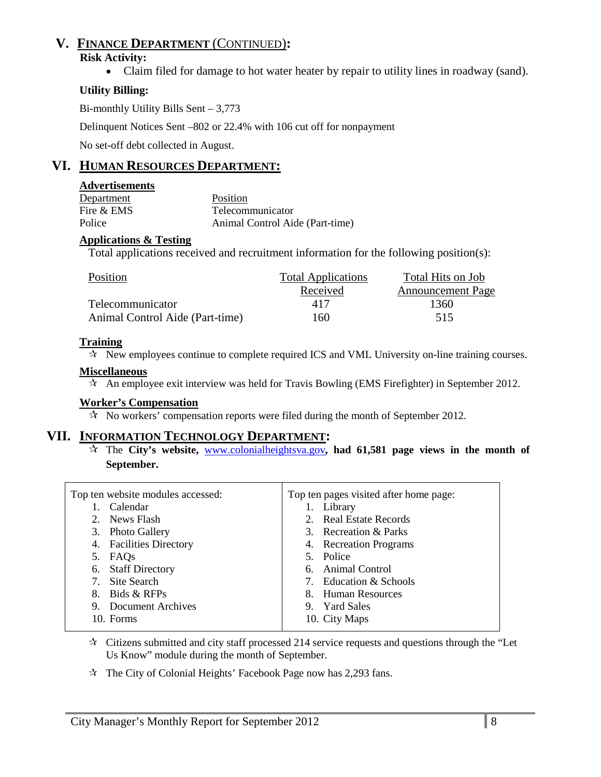# **V. FINANCE DEPARTMENT** (CONTINUED)**:**

#### **Risk Activity:**

• Claim filed for damage to hot water heater by repair to utility lines in roadway (sand).

### **Utility Billing:**

Bi-monthly Utility Bills Sent – 3,773

Delinquent Notices Sent –802 or 22.4% with 106 cut off for nonpayment

No set-off debt collected in August.

# **VI. HUMAN RESOURCES DEPARTMENT:**

#### **Advertisements**

| Department | Position                        |
|------------|---------------------------------|
| Fire & EMS | Telecommunicator                |
| Police     | Animal Control Aide (Part-time) |

#### **Applications & Testing**

Total applications received and recruitment information for the following position(s):

| Position                        | <b>Total Applications</b> | Total Hits on Job        |
|---------------------------------|---------------------------|--------------------------|
|                                 | Received                  | <b>Announcement Page</b> |
| Telecommunicator                | 417                       | 1360                     |
| Animal Control Aide (Part-time) | 160                       | 515                      |

#### **Training**

 $\mathcal{R}$  New employees continue to complete required ICS and VML University on-line training courses.

#### **Miscellaneous**

 $\star$  An employee exit interview was held for Travis Bowling (EMS Firefighter) in September 2012.

#### **Worker's Compensation**

 $\mathcal{R}$  No workers' compensation reports were filed during the month of September 2012.

### **VII. INFORMATION TECHNOLOGY DEPARTMENT:**

 The **City's website,** [www.colonialheightsva.gov](http://www.colonialheightsva.gov/)**, had 61,581 page views in the month of September.**

| Top ten website modules accessed: | Top ten pages visited after home page: |
|-----------------------------------|----------------------------------------|
| 1. Calendar                       | 1. Library                             |
| 2. News Flash                     | 2. Real Estate Records                 |
| 3. Photo Gallery                  | 3. Recreation & Parks                  |
| 4. Facilities Directory           | 4. Recreation Programs                 |
| 5. FAQs                           | 5. Police                              |
| 6. Staff Directory                | 6. Animal Control                      |
| 7. Site Search                    | 7. Education & Schools                 |
| 8. Bids & RFPs                    | 8. Human Resources                     |
| 9. Document Archives              | 9. Yard Sales                          |
| 10. Forms                         | 10. City Maps                          |

 $\star$  Citizens submitted and city staff processed 214 service requests and questions through the "Let Us Know" module during the month of September.

 $\approx$  The City of Colonial Heights' Facebook Page now has 2,293 fans.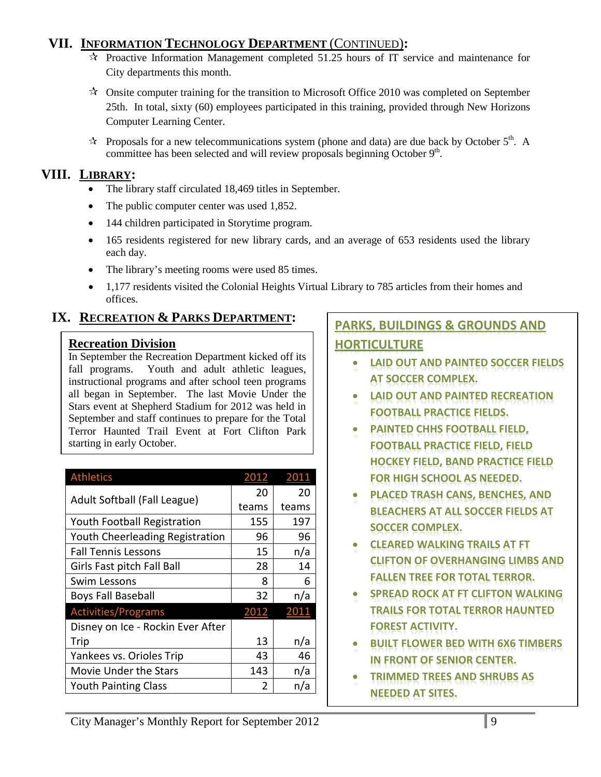# **VII. INFORMATION TECHNOLOGY DEPARTMENT** (CONTINUED)**:**

- $\mathcal{R}$  Proactive Information Management completed 51.25 hours of IT service and maintenance for City departments this month.
- $\lambda$  Onsite computer training for the transition to Microsoft Office 2010 was completed on September 25th. In total, sixty (60) employees participated in this training, provided through New Horizons Computer Learning Center.
- $\star$  Proposals for a new telecommunications system (phone and data) are due back by October 5<sup>th</sup>. A committee has been selected and will review proposals beginning October  $9<sup>th</sup>$ .

# **VIII. LIBRARY:**

- The library staff circulated 18,469 titles in September.
- The public computer center was used 1,852.
- 144 children participated in Storytime program.
- 165 residents registered for new library cards, and an average of 653 residents used the library each day.
- The library's meeting rooms were used 85 times.
- 1,177 residents visited the Colonial Heights Virtual Library to 785 articles from their homes and offices.

# **IX. RECREATION & PARKS DEPARTMENT:**

# **Recreation Division**

In September the Recreation Department kicked off its fall programs. Youth and adult athletic leagues, instructional programs and after school teen programs all began in September. The last Movie Under the Stars event at Shepherd Stadium for 2012 was held in September and staff continues to prepare for the Total Terror Haunted Trail Event at Fort Clifton Park starting in early October.

| <b>Athletics</b>                  | 2012  | 2011  |
|-----------------------------------|-------|-------|
| Adult Softball (Fall League)      | 20    | 20    |
|                                   | teams | teams |
| Youth Football Registration       | 155   | 197   |
| Youth Cheerleading Registration   | 96    | 96    |
| <b>Fall Tennis Lessons</b>        | 15    | n/a   |
| Girls Fast pitch Fall Ball        | 28    | 14    |
| Swim Lessons                      | 8     | 6     |
| <b>Boys Fall Baseball</b>         | 32    | n/a   |
| <b>Activities/Programs</b>        | 2012  | 2011  |
| Disney on Ice - Rockin Ever After |       |       |
| Trip                              | 13    | n/a   |
| Yankees vs. Orioles Trip          | 43    | 46    |
| <b>Movie Under the Stars</b>      | 143   | n/a   |
| <b>Youth Painting Class</b>       | 2     | n/a   |

# **PARKS, BUILDINGS & GROUNDS AND HORTICULTURE**

- **LAID OUT AND PAINTED SOCCER FIELDS AT SOCCER COMPLEX.**
- **LAID OUT AND PAINTED RECREATION FOOTBALL PRACTICE FIELDS.**
- **PAINTED CHHS FOOTBALL FIELD, FOOTBALL PRACTICE FIELD, FIELD HOCKEY FIELD, BAND PRACTICE FIELD FOR HIGH SCHOOL AS NEEDED.**
- **PLACED TRASH CANS, BENCHES, AND BLEACHERS AT ALL SOCCER FIELDS AT SOCCER COMPLEX.**
- **CLEARED WALKING TRAILS AT FT CLIFTON OF OVERHANGING LIMBS AND FALLEN TREE FOR TOTAL TERROR.**
- **SPREAD ROCK AT FT CLIFTON WALKING TRAILS FOR TOTAL TERROR HAUNTED FOREST ACTIVITY.**
- **BUILT FLOWER BED WITH 6X6 TIMBERS IN FRONT OF SENIOR CENTER.**
- **TRIMMED TREES AND SHRUBS AS NEEDED AT SITES.**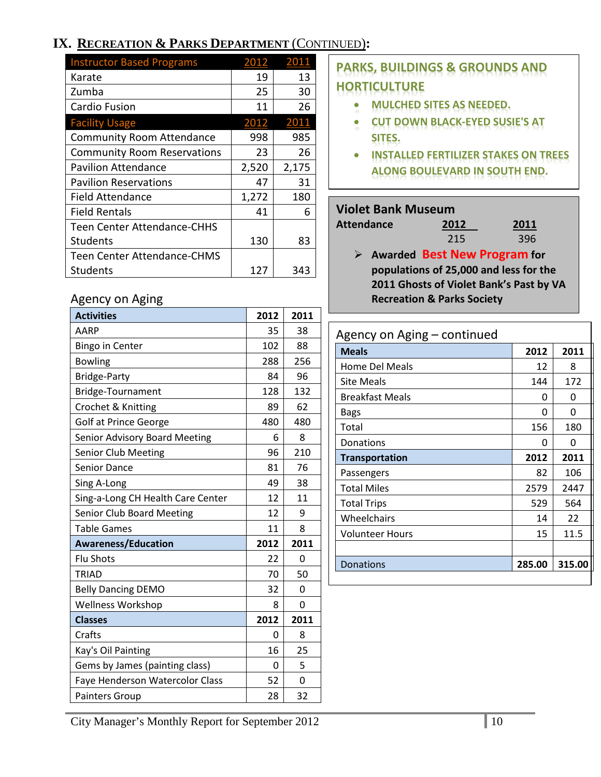# **IX. RECREATION & PARKS DEPARTMENT** (CONTINUED)**:**

| <b>Instructor Based Programs</b>   |       |              |
|------------------------------------|-------|--------------|
| Karate                             | 19    | 13           |
| Zumba                              | 25    | 30           |
| Cardio Fusion                      | 11    | 26           |
| <b>Facility Usage</b>              | 2012  | <u> 2011</u> |
| <b>Community Room Attendance</b>   | 998   | 985          |
| <b>Community Room Reservations</b> | 23    | 26           |
| <b>Pavilion Attendance</b>         | 2,520 | 2,175        |
| <b>Pavilion Reservations</b>       | 47    | 31           |
| Field Attendance                   | 1,272 | 180          |
| <b>Field Rentals</b>               | 41    | 6            |
| Teen Center Attendance-CHHS        |       |              |
| <b>Students</b>                    | 130   | 83           |
| Teen Center Attendance-CHMS        |       |              |
| Students                           | 127   | 343          |

**PARKS, BUILDINGS & GROUNDS AND HORTICULTURE**

- **MULCHED SITES AS NEEDED.**
- **CUT DOWN BLACK-EYED SUSIE'S AT SITES.**
- **INSTALLED FERTILIZER STAKES ON TREES ALONG BOULEVARD IN SOUTH END.**

### **Violet Bank Museum**

**Attendance 2012 2011**

| 2011 |
|------|
| 396  |

 **Awarded Best New Program for populations of 25,000 and less for the 2011 Ghosts of Violet Bank's Past by VA Recreation & Parks Society**

 $215$ 

| Agency on Aging – continued |        |        |  |  |
|-----------------------------|--------|--------|--|--|
| <b>Meals</b>                | 2012   | 2011   |  |  |
| Home Del Meals              | 12     | 8      |  |  |
| <b>Site Meals</b>           | 144    | 172    |  |  |
| <b>Breakfast Meals</b>      | 0      | O      |  |  |
| <b>Bags</b>                 | U      | O      |  |  |
| Total                       | 156    | 180    |  |  |
| Donations                   | Ω      | O      |  |  |
| <b>Transportation</b>       | 2012   | 2011   |  |  |
| Passengers                  | 82     | 106    |  |  |
| <b>Total Miles</b>          | 2579   | 2447   |  |  |
| <b>Total Trips</b>          | 529    | 564    |  |  |
| Wheelchairs                 | 14     | 22     |  |  |
| Volunteer Hours             | 15     | 11.5   |  |  |
|                             |        |        |  |  |
| Donations                   | 285.00 | 315.00 |  |  |

#### Agency on Aging

| <b>Activities</b>                 | 2012 | 2011 |
|-----------------------------------|------|------|
| AARP                              | 35   | 38   |
| <b>Bingo in Center</b>            | 102  | 88   |
| <b>Bowling</b>                    | 288  | 256  |
| Bridge-Party                      | 84   | 96   |
| Bridge-Tournament                 | 128  | 132  |
| Crochet & Knitting                | 89   | 62   |
| <b>Golf at Prince George</b>      | 480  | 480  |
| Senior Advisory Board Meeting     | 6    | 8    |
| Senior Club Meeting               | 96   | 210  |
| Senior Dance                      | 81   | 76   |
| Sing A-Long                       | 49   | 38   |
| Sing-a-Long CH Health Care Center | 12   | 11   |
| Senior Club Board Meeting         | 12   | 9    |
| <b>Table Games</b>                | 11   | 8    |
| <b>Awareness/Education</b>        | 2012 | 2011 |
| <b>Flu Shots</b>                  | 22   | 0    |
| <b>TRIAD</b>                      | 70   | 50   |
| <b>Belly Dancing DEMO</b>         | 32   | 0    |
| Wellness Workshop                 | 8    | 0    |
| <b>Classes</b>                    | 2012 | 2011 |
| Crafts                            | 0    | 8    |
| Kay's Oil Painting                | 16   | 25   |
| Gems by James (painting class)    | 0    | 5    |
| Faye Henderson Watercolor Class   | 52   | 0    |
| <b>Painters Group</b>             | 28   | 32   |

City Manager's Monthly Report for September 2012 10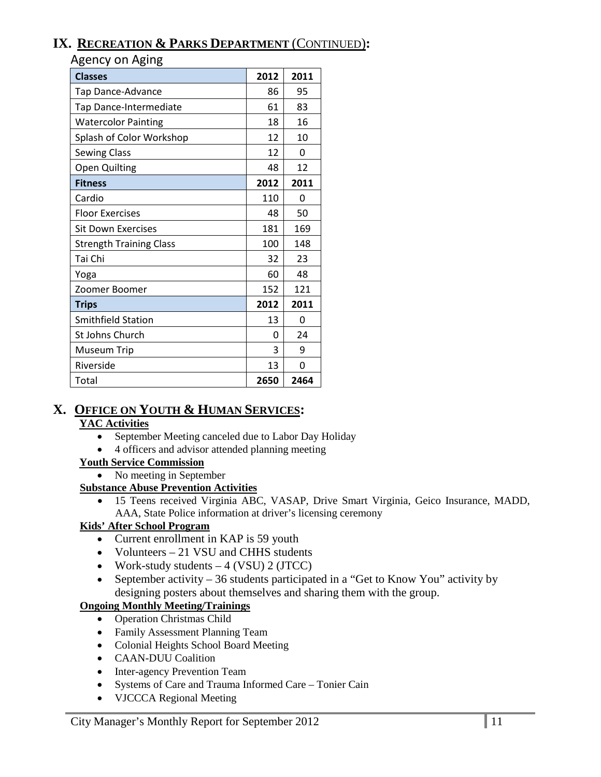# **IX. RECREATION & PARKS DEPARTMENT** (CONTINUED)**:**

Agency on Aging

| ັ<br>ັ<br><b>Classes</b>       | 2012 | 2011 |
|--------------------------------|------|------|
| Tap Dance-Advance              | 86   | 95   |
| Tap Dance-Intermediate         | 61   | 83   |
| <b>Watercolor Painting</b>     | 18   | 16   |
| Splash of Color Workshop       | 12   | 10   |
| <b>Sewing Class</b>            | 12   | 0    |
| <b>Open Quilting</b>           | 48   | 12   |
| <b>Fitness</b>                 | 2012 | 2011 |
| Cardio                         | 110  | 0    |
| <b>Floor Exercises</b>         | 48   | 50   |
| <b>Sit Down Exercises</b>      | 181  | 169  |
| <b>Strength Training Class</b> | 100  | 148  |
| Tai Chi                        | 32   | 23   |
| Yoga                           | 60   | 48   |
| Zoomer Boomer                  | 152  | 121  |
| <b>Trips</b>                   | 2012 | 2011 |
| <b>Smithfield Station</b>      | 13   | 0    |
| St Johns Church                | 0    | 24   |
| Museum Trip                    | 3    | 9    |
| Riverside                      | 13   | 0    |
| Total                          | 2650 | 2464 |

# **X. OFFICE ON YOUTH & HUMAN SERVICES:**

#### **YAC Activities**

- September Meeting canceled due to Labor Day Holiday
- 4 officers and advisor attended planning meeting

#### **Youth Service Commission**

• No meeting in September

#### **Substance Abuse Prevention Activities**

• 15 Teens received Virginia ABC, VASAP, Drive Smart Virginia, Geico Insurance, MADD, AAA, State Police information at driver's licensing ceremony

#### **Kids' After School Program**

- Current enrollment in KAP is 59 youth
- Volunteers 21 VSU and CHHS students
- Work-study students  $-4$  (VSU) 2 (JTCC)
- September activity 36 students participated in a "Get to Know You" activity by designing posters about themselves and sharing them with the group.

### **Ongoing Monthly Meeting/Trainings**

- Operation Christmas Child
- Family Assessment Planning Team
- Colonial Heights School Board Meeting
- CAAN-DUU Coalition
- Inter-agency Prevention Team
- Systems of Care and Trauma Informed Care Tonier Cain
- VJCCCA Regional Meeting